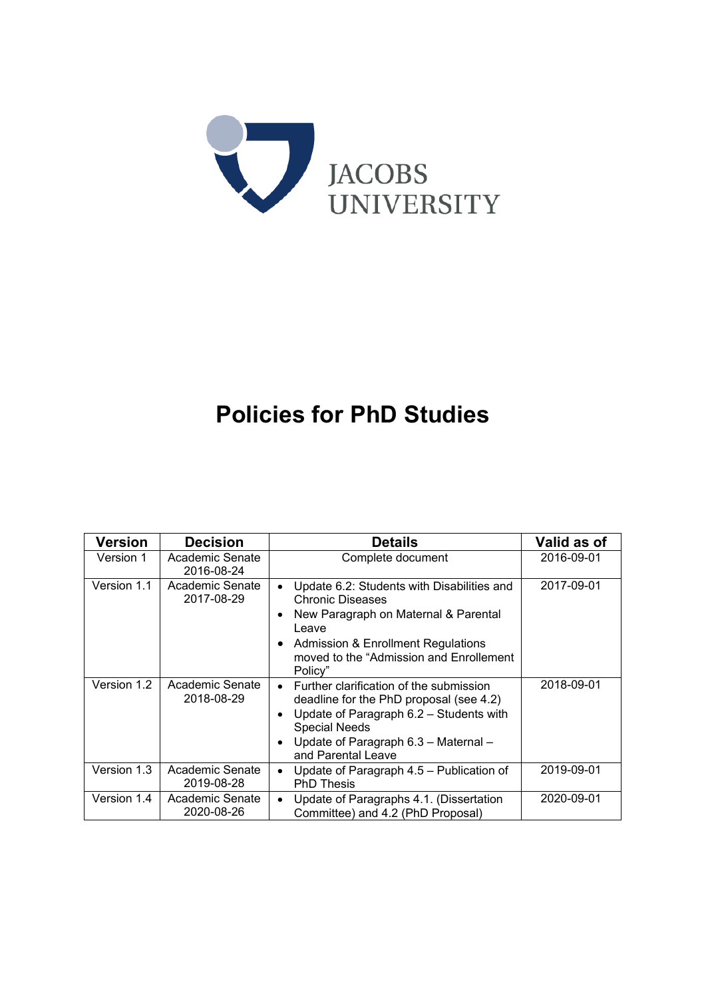

# **Policies for PhD Studies**

| Version     | <b>Decision</b>               | <b>Details</b>                                                                                                                                                                                                                                    | Valid as of |
|-------------|-------------------------------|---------------------------------------------------------------------------------------------------------------------------------------------------------------------------------------------------------------------------------------------------|-------------|
| Version 1   | Academic Senate<br>2016-08-24 | Complete document                                                                                                                                                                                                                                 | 2016-09-01  |
| Version 1.1 | Academic Senate<br>2017-08-29 | Update 6.2: Students with Disabilities and<br>$\bullet$<br><b>Chronic Diseases</b><br>New Paragraph on Maternal & Parental<br>$\bullet$<br>Leave<br>Admission & Enrollment Regulations<br>٠<br>moved to the "Admission and Enrollement<br>Policy" | 2017-09-01  |
| Version 1.2 | Academic Senate<br>2018-08-29 | Further clarification of the submission<br>$\bullet$<br>deadline for the PhD proposal (see 4.2)<br>Update of Paragraph 6.2 - Students with<br><b>Special Needs</b><br>Update of Paragraph 6.3 - Maternal -<br>and Parental Leave                  | 2018-09-01  |
| Version 1.3 | Academic Senate<br>2019-08-28 | Update of Paragraph 4.5 - Publication of<br>$\bullet$<br><b>PhD Thesis</b>                                                                                                                                                                        | 2019-09-01  |
| Version 1.4 | Academic Senate<br>2020-08-26 | Update of Paragraphs 4.1. (Dissertation<br>$\bullet$<br>Committee) and 4.2 (PhD Proposal)                                                                                                                                                         | 2020-09-01  |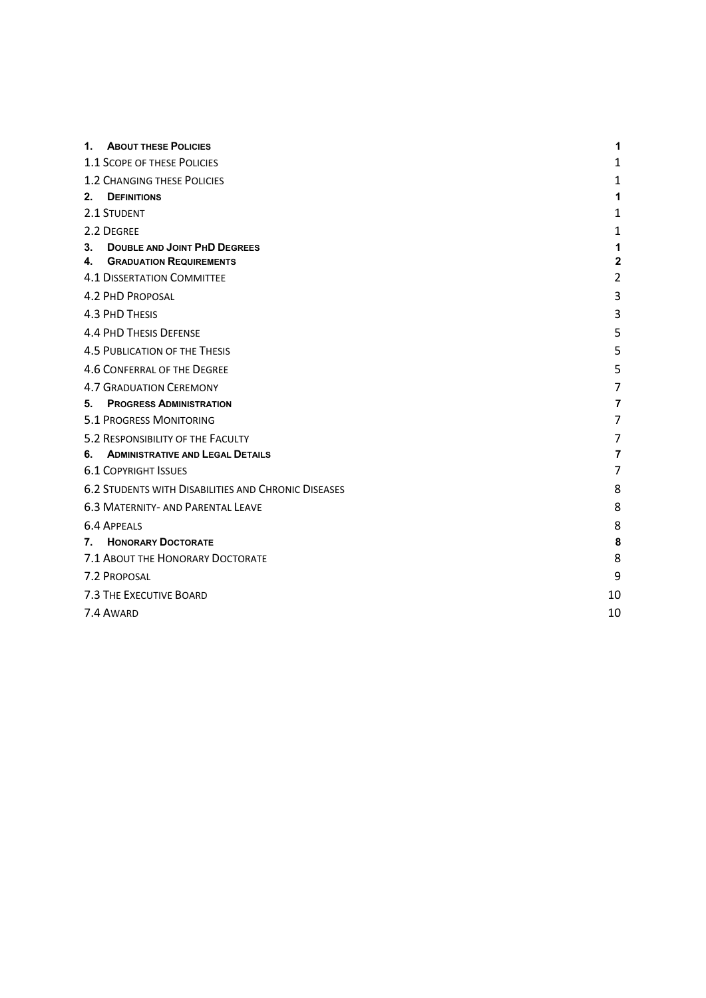| 1.                                                         | <b>ABOUT THESE POLICIES</b>              | 1              |  |
|------------------------------------------------------------|------------------------------------------|----------------|--|
| 1.1 SCOPE OF THESE POLICIES                                |                                          |                |  |
| <b>1.2 CHANGING THESE POLICIES</b>                         |                                          |                |  |
| $2_{-}$<br><b>DEFINITIONS</b>                              | 1                                        |                |  |
| 2.1 STUDENT                                                | 1                                        |                |  |
| 2.2 DEGREE                                                 |                                          | 1              |  |
| 3.                                                         | <b>DOUBLE AND JOINT PHD DEGREES</b>      | 1              |  |
| 4.                                                         | <b>GRADUATION REQUIREMENTS</b>           | $\mathbf{2}$   |  |
|                                                            | <b>4.1 DISSERTATION COMMITTEE</b>        | $\overline{2}$ |  |
| <b>4.2 PHD PROPOSAL</b>                                    |                                          | 3              |  |
| 4.3 PHD THESIS                                             |                                          | 3              |  |
|                                                            | <b>4.4 PHD THESIS DEFENSE</b>            | 5              |  |
| <b>4.5 PUBLICATION OF THE THESIS</b>                       | 5                                        |                |  |
|                                                            | 4.6 CONFERRAL OF THE DEGREE              | 5              |  |
|                                                            | <b>4.7 GRADUATION CEREMONY</b>           | 7              |  |
| 5.                                                         | <b>PROGRESS ADMINISTRATION</b>           | 7              |  |
| <b>5.1 PROGRESS MONITORING</b>                             | 7                                        |                |  |
|                                                            | 5.2 RESPONSIBILITY OF THE FACULTY        | 7              |  |
| 6.                                                         | <b>ADMINISTRATIVE AND LEGAL DETAILS</b>  | 7              |  |
| <b>6.1 COPYRIGHT ISSUES</b>                                | 7                                        |                |  |
| <b>6.2 STUDENTS WITH DISABILITIES AND CHRONIC DISEASES</b> | 8                                        |                |  |
|                                                            | <b>6.3 MATERNITY- AND PARENTAL LEAVE</b> | 8              |  |
| <b>6.4 APPEALS</b>                                         |                                          | 8              |  |
| 7.                                                         | <b>HONORARY DOCTORATE</b>                | 8              |  |
|                                                            | 7.1 ABOUT THE HONORARY DOCTORATE         | 8              |  |
| 7.2 PROPOSAL                                               | 9                                        |                |  |
| 7.3 THE EXECUTIVE BOARD                                    |                                          |                |  |
| 7.4 AWARD                                                  | 10                                       |                |  |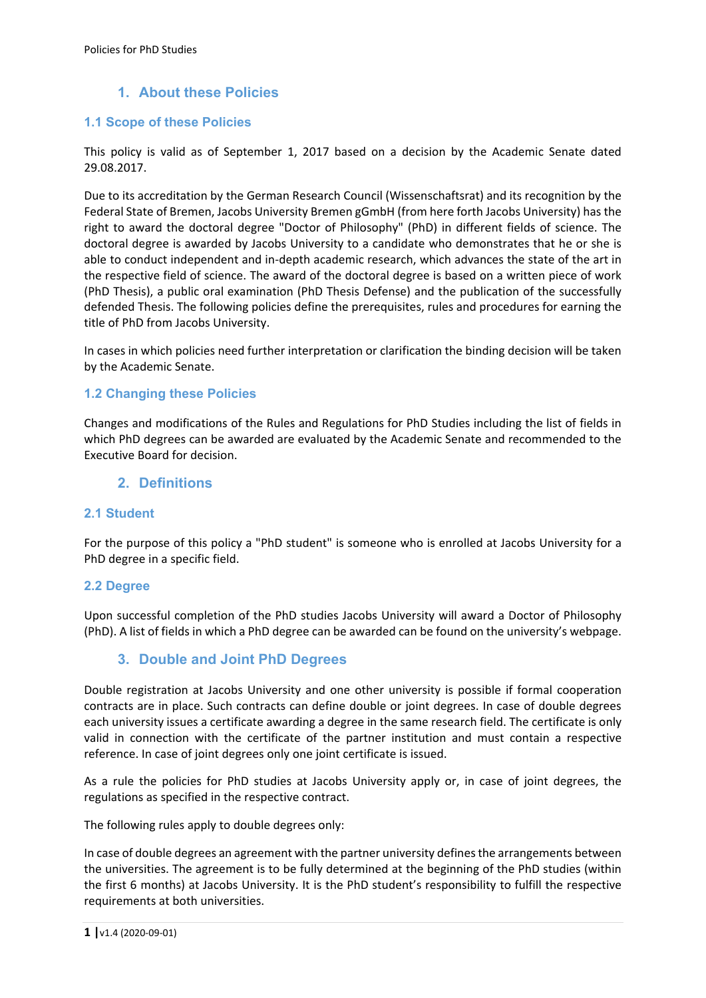# **1. About these Policies**

### **1.1 Scope of these Policies**

This policy is valid as of September 1, 2017 based on a decision by the Academic Senate dated 29.08.2017.

Due to its accreditation by the German Research Council (Wissenschaftsrat) and its recognition by the Federal State of Bremen, Jacobs University Bremen gGmbH (from here forth Jacobs University) has the right to award the doctoral degree "Doctor of Philosophy" (PhD) in different fields of science. The doctoral degree is awarded by Jacobs University to a candidate who demonstrates that he or she is able to conduct independent and in‐depth academic research, which advances the state of the art in the respective field of science. The award of the doctoral degree is based on a written piece of work (PhD Thesis), a public oral examination (PhD Thesis Defense) and the publication of the successfully defended Thesis. The following policies define the prerequisites, rules and procedures for earning the title of PhD from Jacobs University.

In cases in which policies need further interpretation or clarification the binding decision will be taken by the Academic Senate.

#### **1.2 Changing these Policies**

Changes and modifications of the Rules and Regulations for PhD Studies including the list of fields in which PhD degrees can be awarded are evaluated by the Academic Senate and recommended to the Executive Board for decision.

## **2. Definitions**

#### **2.1 Student**

For the purpose of this policy a "PhD student" is someone who is enrolled at Jacobs University for a PhD degree in a specific field.

#### **2.2 Degree**

Upon successful completion of the PhD studies Jacobs University will award a Doctor of Philosophy (PhD). A list of fields in which a PhD degree can be awarded can be found on the university's webpage.

# **3. Double and Joint PhD Degrees**

Double registration at Jacobs University and one other university is possible if formal cooperation contracts are in place. Such contracts can define double or joint degrees. In case of double degrees each university issues a certificate awarding a degree in the same research field. The certificate is only valid in connection with the certificate of the partner institution and must contain a respective reference. In case of joint degrees only one joint certificate is issued.

As a rule the policies for PhD studies at Jacobs University apply or, in case of joint degrees, the regulations as specified in the respective contract.

The following rules apply to double degrees only:

In case of double degrees an agreement with the partner university defines the arrangements between the universities. The agreement is to be fully determined at the beginning of the PhD studies (within the first 6 months) at Jacobs University. It is the PhD student's responsibility to fulfill the respective requirements at both universities.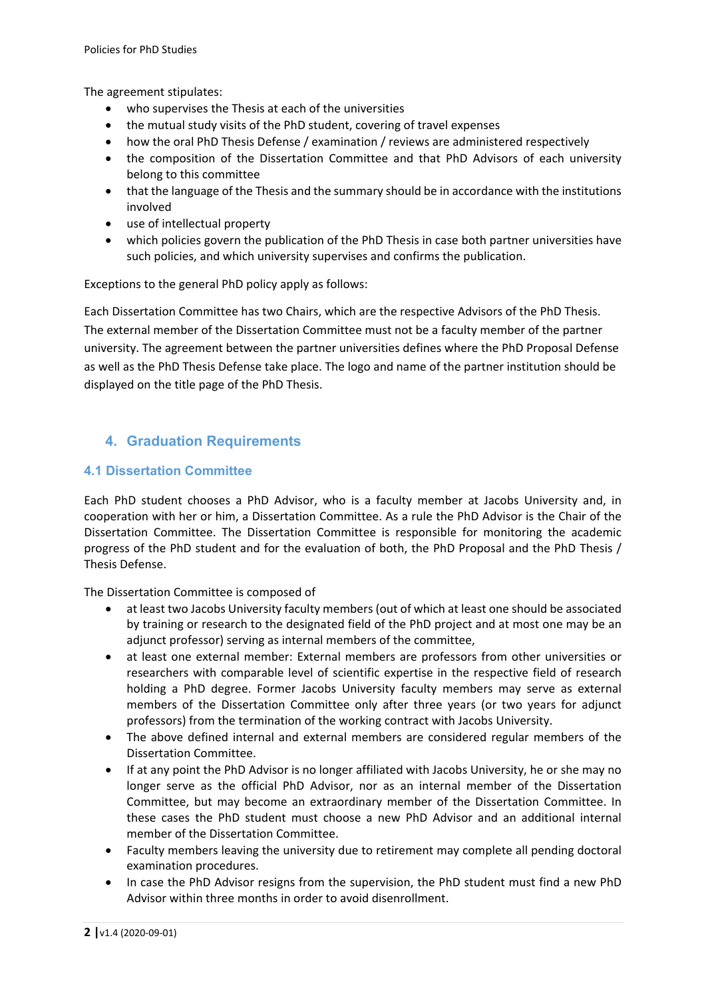The agreement stipulates:

- who supervises the Thesis at each of the universities
- the mutual study visits of the PhD student, covering of travel expenses
- how the oral PhD Thesis Defense / examination / reviews are administered respectively
- the composition of the Dissertation Committee and that PhD Advisors of each university belong to this committee
- that the language of the Thesis and the summary should be in accordance with the institutions involved
- use of intellectual property
- which policies govern the publication of the PhD Thesis in case both partner universities have such policies, and which university supervises and confirms the publication.

Exceptions to the general PhD policy apply as follows:

Each Dissertation Committee has two Chairs, which are the respective Advisors of the PhD Thesis. The external member of the Dissertation Committee must not be a faculty member of the partner university. The agreement between the partner universities defines where the PhD Proposal Defense as well as the PhD Thesis Defense take place. The logo and name of the partner institution should be displayed on the title page of the PhD Thesis.

## **4. Graduation Requirements**

#### **4.1 Dissertation Committee**

Each PhD student chooses a PhD Advisor, who is a faculty member at Jacobs University and, in cooperation with her or him, a Dissertation Committee. As a rule the PhD Advisor is the Chair of the Dissertation Committee. The Dissertation Committee is responsible for monitoring the academic progress of the PhD student and for the evaluation of both, the PhD Proposal and the PhD Thesis / Thesis Defense.

The Dissertation Committee is composed of

- at least two Jacobs University faculty members (out of which at least one should be associated by training or research to the designated field of the PhD project and at most one may be an adjunct professor) serving as internal members of the committee,
- at least one external member: External members are professors from other universities or researchers with comparable level of scientific expertise in the respective field of research holding a PhD degree. Former Jacobs University faculty members may serve as external members of the Dissertation Committee only after three years (or two years for adjunct professors) from the termination of the working contract with Jacobs University.
- The above defined internal and external members are considered regular members of the Dissertation Committee.
- If at any point the PhD Advisor is no longer affiliated with Jacobs University, he or she may no longer serve as the official PhD Advisor, nor as an internal member of the Dissertation Committee, but may become an extraordinary member of the Dissertation Committee. In these cases the PhD student must choose a new PhD Advisor and an additional internal member of the Dissertation Committee.
- Faculty members leaving the university due to retirement may complete all pending doctoral examination procedures.
- In case the PhD Advisor resigns from the supervision, the PhD student must find a new PhD Advisor within three months in order to avoid disenrollment.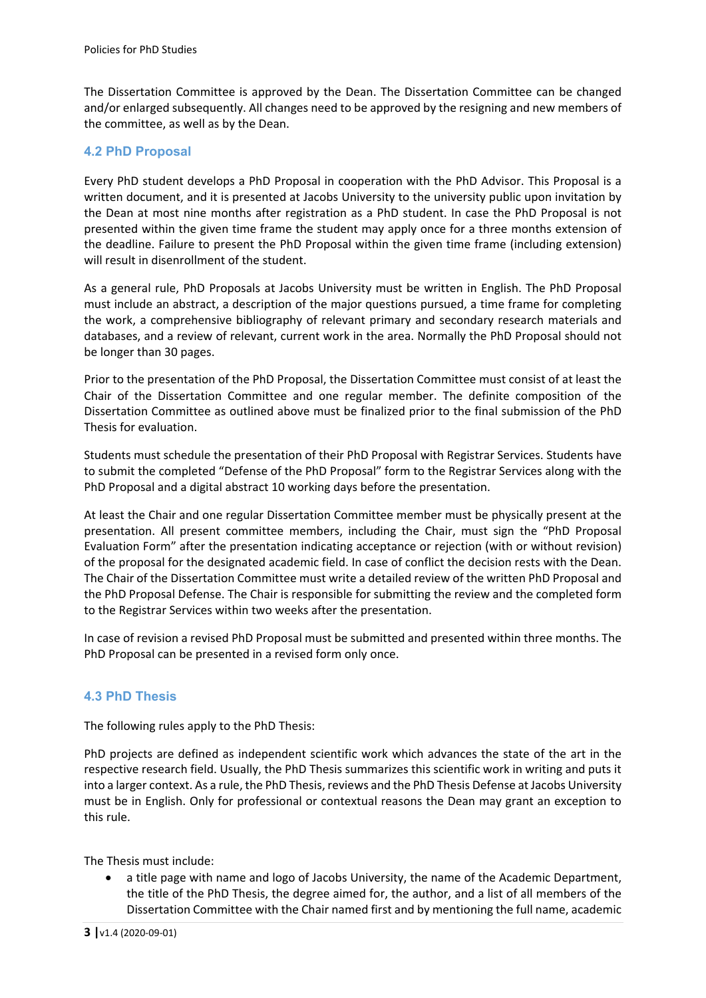The Dissertation Committee is approved by the Dean. The Dissertation Committee can be changed and/or enlarged subsequently. All changes need to be approved by the resigning and new members of the committee, as well as by the Dean.

### **4.2 PhD Proposal**

Every PhD student develops a PhD Proposal in cooperation with the PhD Advisor. This Proposal is a written document, and it is presented at Jacobs University to the university public upon invitation by the Dean at most nine months after registration as a PhD student. In case the PhD Proposal is not presented within the given time frame the student may apply once for a three months extension of the deadline. Failure to present the PhD Proposal within the given time frame (including extension) will result in disenrollment of the student.

As a general rule, PhD Proposals at Jacobs University must be written in English. The PhD Proposal must include an abstract, a description of the major questions pursued, a time frame for completing the work, a comprehensive bibliography of relevant primary and secondary research materials and databases, and a review of relevant, current work in the area. Normally the PhD Proposal should not be longer than 30 pages.

Prior to the presentation of the PhD Proposal, the Dissertation Committee must consist of at least the Chair of the Dissertation Committee and one regular member. The definite composition of the Dissertation Committee as outlined above must be finalized prior to the final submission of the PhD Thesis for evaluation.

Students must schedule the presentation of their PhD Proposal with Registrar Services. Students have to submit the completed "Defense of the PhD Proposal" form to the Registrar Services along with the PhD Proposal and a digital abstract 10 working days before the presentation.

At least the Chair and one regular Dissertation Committee member must be physically present at the presentation. All present committee members, including the Chair, must sign the "PhD Proposal Evaluation Form" after the presentation indicating acceptance or rejection (with or without revision) of the proposal for the designated academic field. In case of conflict the decision rests with the Dean. The Chair of the Dissertation Committee must write a detailed review of the written PhD Proposal and the PhD Proposal Defense. The Chair is responsible for submitting the review and the completed form to the Registrar Services within two weeks after the presentation.

In case of revision a revised PhD Proposal must be submitted and presented within three months. The PhD Proposal can be presented in a revised form only once.

## **4.3 PhD Thesis**

The following rules apply to the PhD Thesis:

PhD projects are defined as independent scientific work which advances the state of the art in the respective research field. Usually, the PhD Thesis summarizes this scientific work in writing and puts it into a larger context. As a rule, the PhD Thesis, reviews and the PhD Thesis Defense at Jacobs University must be in English. Only for professional or contextual reasons the Dean may grant an exception to this rule.

The Thesis must include:

 a title page with name and logo of Jacobs University, the name of the Academic Department, the title of the PhD Thesis, the degree aimed for, the author, and a list of all members of the Dissertation Committee with the Chair named first and by mentioning the full name, academic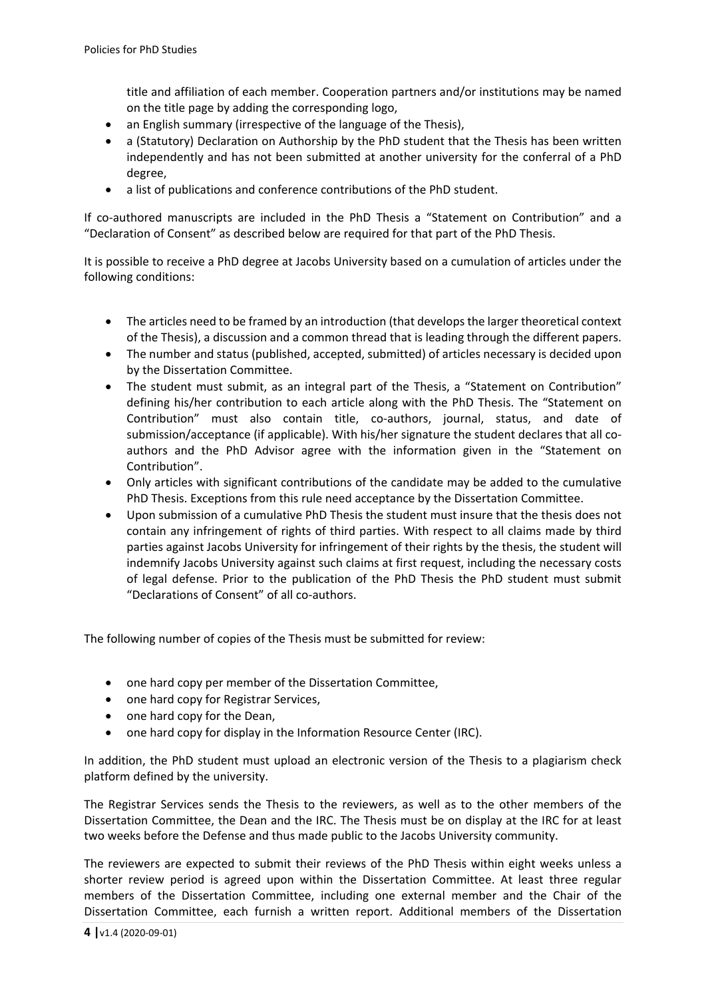title and affiliation of each member. Cooperation partners and/or institutions may be named on the title page by adding the corresponding logo,

- an English summary (irrespective of the language of the Thesis),
- a (Statutory) Declaration on Authorship by the PhD student that the Thesis has been written independently and has not been submitted at another university for the conferral of a PhD degree,
- a list of publications and conference contributions of the PhD student.

If co-authored manuscripts are included in the PhD Thesis a "Statement on Contribution" and a "Declaration of Consent" as described below are required for that part of the PhD Thesis.

It is possible to receive a PhD degree at Jacobs University based on a cumulation of articles under the following conditions:

- The articles need to be framed by an introduction (that develops the larger theoretical context of the Thesis), a discussion and a common thread that is leading through the different papers.
- The number and status (published, accepted, submitted) of articles necessary is decided upon by the Dissertation Committee.
- The student must submit, as an integral part of the Thesis, a "Statement on Contribution" defining his/her contribution to each article along with the PhD Thesis. The "Statement on Contribution" must also contain title, co-authors, journal, status, and date of submission/acceptance (if applicable). With his/her signature the student declares that all coauthors and the PhD Advisor agree with the information given in the "Statement on Contribution".
- Only articles with significant contributions of the candidate may be added to the cumulative PhD Thesis. Exceptions from this rule need acceptance by the Dissertation Committee.
- Upon submission of a cumulative PhD Thesis the student must insure that the thesis does not contain any infringement of rights of third parties. With respect to all claims made by third parties against Jacobs University for infringement of their rights by the thesis, the student will indemnify Jacobs University against such claims at first request, including the necessary costs of legal defense. Prior to the publication of the PhD Thesis the PhD student must submit "Declarations of Consent" of all co‐authors.

The following number of copies of the Thesis must be submitted for review:

- one hard copy per member of the Dissertation Committee,
- one hard copy for Registrar Services,
- one hard copy for the Dean,
- one hard copy for display in the Information Resource Center (IRC).

In addition, the PhD student must upload an electronic version of the Thesis to a plagiarism check platform defined by the university.

The Registrar Services sends the Thesis to the reviewers, as well as to the other members of the Dissertation Committee, the Dean and the IRC. The Thesis must be on display at the IRC for at least two weeks before the Defense and thus made public to the Jacobs University community.

The reviewers are expected to submit their reviews of the PhD Thesis within eight weeks unless a shorter review period is agreed upon within the Dissertation Committee. At least three regular members of the Dissertation Committee, including one external member and the Chair of the Dissertation Committee, each furnish a written report. Additional members of the Dissertation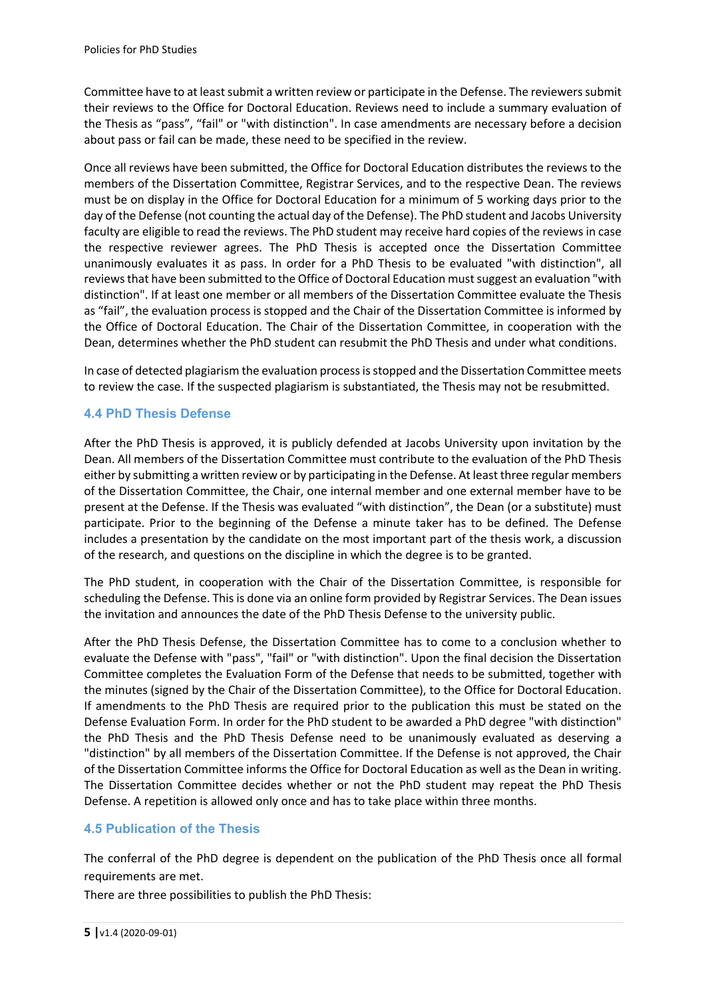Committee have to at least submit a written review or participate in the Defense. The reviewers submit their reviews to the Office for Doctoral Education. Reviews need to include a summary evaluation of the Thesis as "pass", "fail" or "with distinction". In case amendments are necessary before a decision about pass or fail can be made, these need to be specified in the review.

Once all reviews have been submitted, the Office for Doctoral Education distributes the reviews to the members of the Dissertation Committee, Registrar Services, and to the respective Dean. The reviews must be on display in the Office for Doctoral Education for a minimum of 5 working days prior to the day of the Defense (not counting the actual day of the Defense). The PhD student and Jacobs University faculty are eligible to read the reviews. The PhD student may receive hard copies of the reviews in case the respective reviewer agrees. The PhD Thesis is accepted once the Dissertation Committee unanimously evaluates it as pass. In order for a PhD Thesis to be evaluated "with distinction", all reviews that have been submitted to the Office of Doctoral Education must suggest an evaluation "with distinction". If at least one member or all members of the Dissertation Committee evaluate the Thesis as "fail", the evaluation process is stopped and the Chair of the Dissertation Committee is informed by the Office of Doctoral Education. The Chair of the Dissertation Committee, in cooperation with the Dean, determines whether the PhD student can resubmit the PhD Thesis and under what conditions.

In case of detected plagiarism the evaluation process is stopped and the Dissertation Committee meets to review the case. If the suspected plagiarism is substantiated, the Thesis may not be resubmitted.

## **4.4 PhD Thesis Defense**

After the PhD Thesis is approved, it is publicly defended at Jacobs University upon invitation by the Dean. All members of the Dissertation Committee must contribute to the evaluation of the PhD Thesis either by submitting a written review or by participating in the Defense. At least three regular members of the Dissertation Committee, the Chair, one internal member and one external member have to be present at the Defense. If the Thesis was evaluated "with distinction", the Dean (or a substitute) must participate. Prior to the beginning of the Defense a minute taker has to be defined. The Defense includes a presentation by the candidate on the most important part of the thesis work, a discussion of the research, and questions on the discipline in which the degree is to be granted.

The PhD student, in cooperation with the Chair of the Dissertation Committee, is responsible for scheduling the Defense. This is done via an online form provided by Registrar Services. The Dean issues the invitation and announces the date of the PhD Thesis Defense to the university public.

After the PhD Thesis Defense, the Dissertation Committee has to come to a conclusion whether to evaluate the Defense with "pass", "fail" or "with distinction". Upon the final decision the Dissertation Committee completes the Evaluation Form of the Defense that needs to be submitted, together with the minutes (signed by the Chair of the Dissertation Committee), to the Office for Doctoral Education. If amendments to the PhD Thesis are required prior to the publication this must be stated on the Defense Evaluation Form. In order for the PhD student to be awarded a PhD degree "with distinction" the PhD Thesis and the PhD Thesis Defense need to be unanimously evaluated as deserving a "distinction" by all members of the Dissertation Committee. If the Defense is not approved, the Chair of the Dissertation Committee informs the Office for Doctoral Education as well as the Dean in writing. The Dissertation Committee decides whether or not the PhD student may repeat the PhD Thesis Defense. A repetition is allowed only once and has to take place within three months.

## **4.5 Publication of the Thesis**

The conferral of the PhD degree is dependent on the publication of the PhD Thesis once all formal requirements are met.

There are three possibilities to publish the PhD Thesis: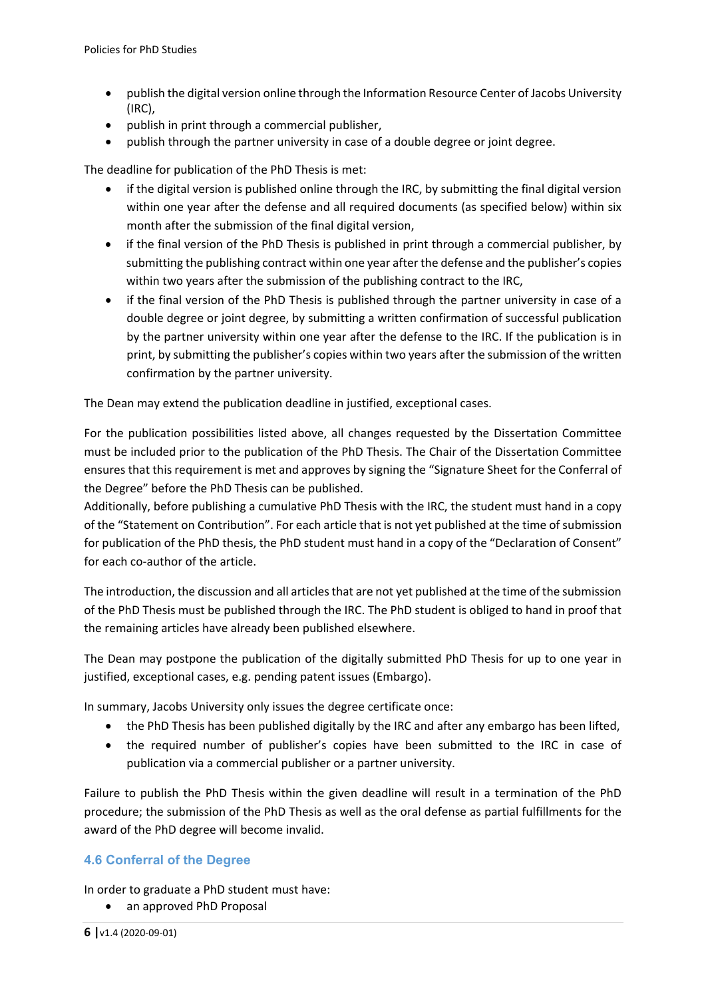- publish the digital version online through the Information Resource Center of Jacobs University (IRC),
- publish in print through a commercial publisher,
- publish through the partner university in case of a double degree or joint degree.

The deadline for publication of the PhD Thesis is met:

- if the digital version is published online through the IRC, by submitting the final digital version within one year after the defense and all required documents (as specified below) within six month after the submission of the final digital version,
- if the final version of the PhD Thesis is published in print through a commercial publisher, by submitting the publishing contract within one year after the defense and the publisher's copies within two years after the submission of the publishing contract to the IRC,
- if the final version of the PhD Thesis is published through the partner university in case of a double degree or joint degree, by submitting a written confirmation of successful publication by the partner university within one year after the defense to the IRC. If the publication is in print, by submitting the publisher's copies within two years after the submission of the written confirmation by the partner university.

The Dean may extend the publication deadline in justified, exceptional cases.

For the publication possibilities listed above, all changes requested by the Dissertation Committee must be included prior to the publication of the PhD Thesis. The Chair of the Dissertation Committee ensures that this requirement is met and approves by signing the "Signature Sheet for the Conferral of the Degree" before the PhD Thesis can be published.

Additionally, before publishing a cumulative PhD Thesis with the IRC, the student must hand in a copy of the "Statement on Contribution". For each article that is not yet published at the time of submission for publication of the PhD thesis, the PhD student must hand in a copy of the "Declaration of Consent" for each co-author of the article.

The introduction, the discussion and all articles that are not yet published at the time of the submission of the PhD Thesis must be published through the IRC. The PhD student is obliged to hand in proof that the remaining articles have already been published elsewhere.

The Dean may postpone the publication of the digitally submitted PhD Thesis for up to one year in justified, exceptional cases, e.g. pending patent issues (Embargo).

In summary, Jacobs University only issues the degree certificate once:

- the PhD Thesis has been published digitally by the IRC and after any embargo has been lifted,
- the required number of publisher's copies have been submitted to the IRC in case of publication via a commercial publisher or a partner university.

Failure to publish the PhD Thesis within the given deadline will result in a termination of the PhD procedure; the submission of the PhD Thesis as well as the oral defense as partial fulfillments for the award of the PhD degree will become invalid.

#### **4.6 Conferral of the Degree**

In order to graduate a PhD student must have:

an approved PhD Proposal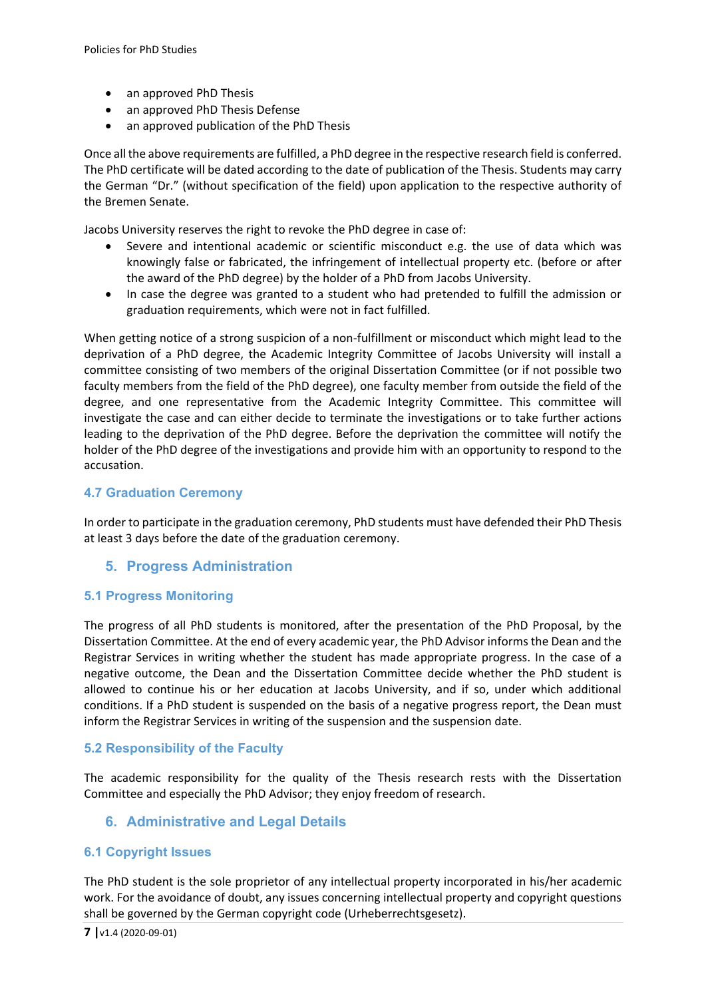- an approved PhD Thesis
- an approved PhD Thesis Defense
- an approved publication of the PhD Thesis

Once all the above requirements are fulfilled, a PhD degree in the respective research field is conferred. The PhD certificate will be dated according to the date of publication of the Thesis. Students may carry the German "Dr." (without specification of the field) upon application to the respective authority of the Bremen Senate.

Jacobs University reserves the right to revoke the PhD degree in case of:

- Severe and intentional academic or scientific misconduct e.g. the use of data which was knowingly false or fabricated, the infringement of intellectual property etc. (before or after the award of the PhD degree) by the holder of a PhD from Jacobs University.
- In case the degree was granted to a student who had pretended to fulfill the admission or graduation requirements, which were not in fact fulfilled.

When getting notice of a strong suspicion of a non-fulfillment or misconduct which might lead to the deprivation of a PhD degree, the Academic Integrity Committee of Jacobs University will install a committee consisting of two members of the original Dissertation Committee (or if not possible two faculty members from the field of the PhD degree), one faculty member from outside the field of the degree, and one representative from the Academic Integrity Committee. This committee will investigate the case and can either decide to terminate the investigations or to take further actions leading to the deprivation of the PhD degree. Before the deprivation the committee will notify the holder of the PhD degree of the investigations and provide him with an opportunity to respond to the accusation.

#### **4.7 Graduation Ceremony**

In order to participate in the graduation ceremony, PhD students must have defended their PhD Thesis at least 3 days before the date of the graduation ceremony.

#### **5. Progress Administration**

#### **5.1 Progress Monitoring**

The progress of all PhD students is monitored, after the presentation of the PhD Proposal, by the Dissertation Committee. At the end of every academic year, the PhD Advisor informs the Dean and the Registrar Services in writing whether the student has made appropriate progress. In the case of a negative outcome, the Dean and the Dissertation Committee decide whether the PhD student is allowed to continue his or her education at Jacobs University, and if so, under which additional conditions. If a PhD student is suspended on the basis of a negative progress report, the Dean must inform the Registrar Services in writing of the suspension and the suspension date.

#### **5.2 Responsibility of the Faculty**

The academic responsibility for the quality of the Thesis research rests with the Dissertation Committee and especially the PhD Advisor; they enjoy freedom of research.

#### **6. Administrative and Legal Details**

#### **6.1 Copyright Issues**

The PhD student is the sole proprietor of any intellectual property incorporated in his/her academic work. For the avoidance of doubt, any issues concerning intellectual property and copyright questions shall be governed by the German copyright code (Urheberrechtsgesetz).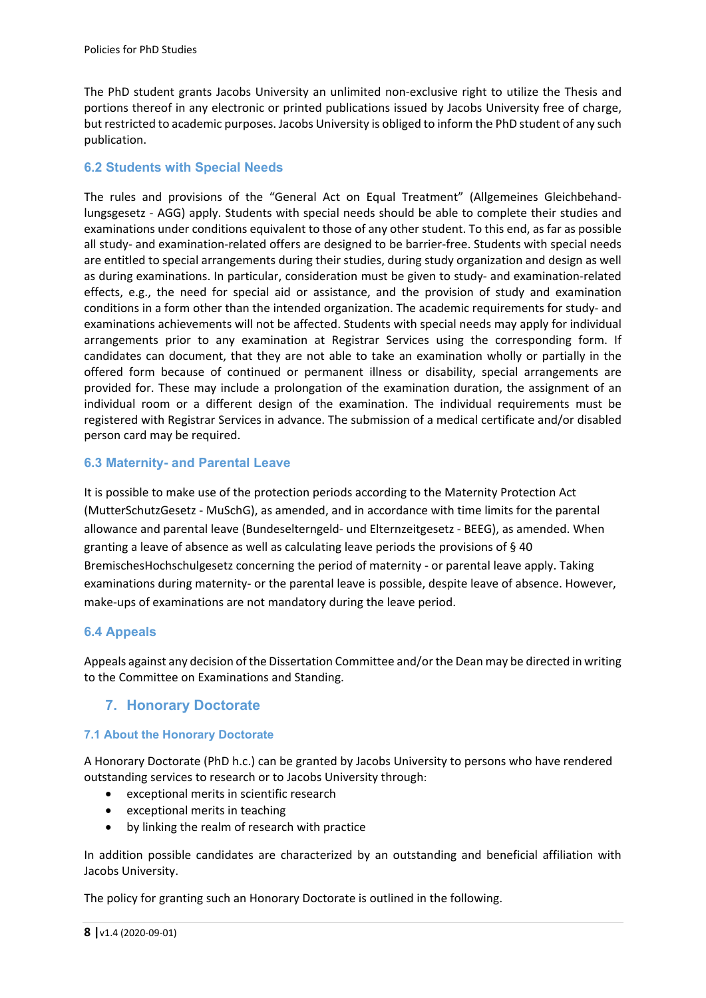The PhD student grants Jacobs University an unlimited non‐exclusive right to utilize the Thesis and portions thereof in any electronic or printed publications issued by Jacobs University free of charge, but restricted to academic purposes. Jacobs University is obliged to inform the PhD student of any such publication.

### **6.2 Students with Special Needs**

The rules and provisions of the "General Act on Equal Treatment" (Allgemeines Gleichbehandlungsgesetz ‐ AGG) apply. Students with special needs should be able to complete their studies and examinations under conditions equivalent to those of any other student. To this end, as far as possible all study‐ and examination‐related offers are designed to be barrier‐free. Students with special needs are entitled to special arrangements during their studies, during study organization and design as well as during examinations. In particular, consideration must be given to study- and examination-related effects, e.g., the need for special aid or assistance, and the provision of study and examination conditions in a form other than the intended organization. The academic requirements for study‐ and examinations achievements will not be affected. Students with special needs may apply for individual arrangements prior to any examination at Registrar Services using the corresponding form. If candidates can document, that they are not able to take an examination wholly or partially in the offered form because of continued or permanent illness or disability, special arrangements are provided for. These may include a prolongation of the examination duration, the assignment of an individual room or a different design of the examination. The individual requirements must be registered with Registrar Services in advance. The submission of a medical certificate and/or disabled person card may be required.

## **6.3 Maternity- and Parental Leave**

It is possible to make use of the protection periods according to the Maternity Protection Act (MutterSchutzGesetz ‐ MuSchG), as amended, and in accordance with time limits for the parental allowance and parental leave (Bundeselterngeld‐ und Elternzeitgesetz ‐ BEEG), as amended. When granting a leave of absence as well as calculating leave periods the provisions of § 40 BremischesHochschulgesetz concerning the period of maternity ‐ or parental leave apply. Taking examinations during maternity‐ or the parental leave is possible, despite leave of absence. However, make‐ups of examinations are not mandatory during the leave period.

#### **6.4 Appeals**

Appeals against any decision of the Dissertation Committee and/or the Dean may be directed in writing to the Committee on Examinations and Standing.

## **7. Honorary Doctorate**

#### **7.1 About the Honorary Doctorate**

A Honorary Doctorate (PhD h.c.) can be granted by Jacobs University to persons who have rendered outstanding services to research or to Jacobs University through:

- exceptional merits in scientific research
- exceptional merits in teaching
- by linking the realm of research with practice

In addition possible candidates are characterized by an outstanding and beneficial affiliation with Jacobs University.

The policy for granting such an Honorary Doctorate is outlined in the following.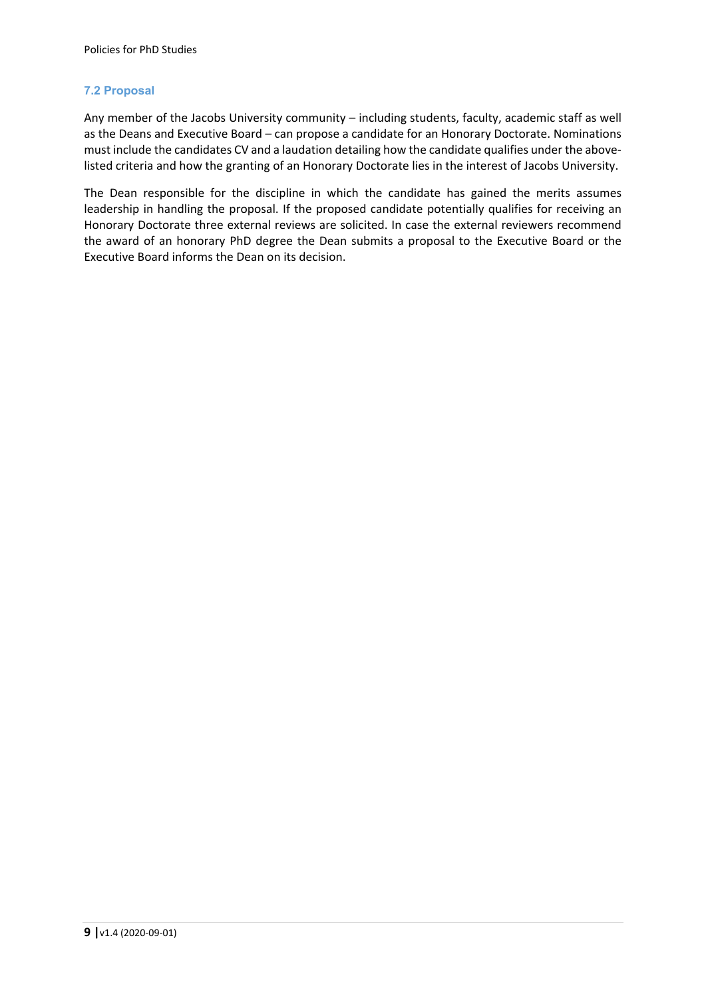#### **7.2 Proposal**

Any member of the Jacobs University community – including students, faculty, academic staff as well as the Deans and Executive Board – can propose a candidate for an Honorary Doctorate. Nominations must include the candidates CV and a laudation detailing how the candidate qualifies under the abovelisted criteria and how the granting of an Honorary Doctorate lies in the interest of Jacobs University.

The Dean responsible for the discipline in which the candidate has gained the merits assumes leadership in handling the proposal. If the proposed candidate potentially qualifies for receiving an Honorary Doctorate three external reviews are solicited. In case the external reviewers recommend the award of an honorary PhD degree the Dean submits a proposal to the Executive Board or the Executive Board informs the Dean on its decision.